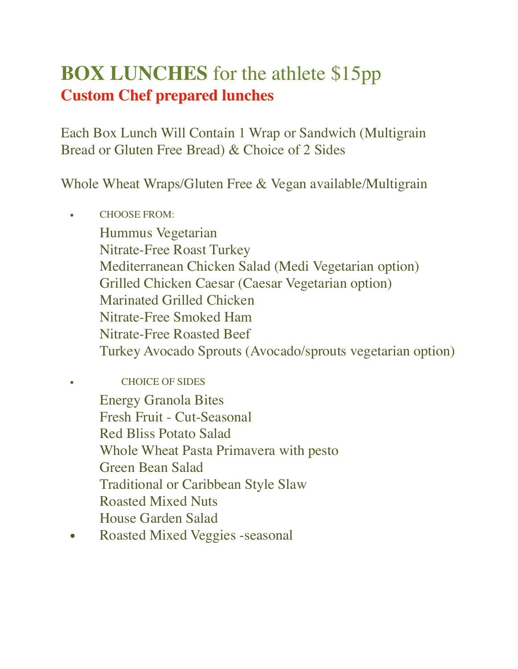# **BOX LUNCHES** for the athlete \$15pp **Custom Chef prepared lunches**

Each Box Lunch Will Contain 1 Wrap or Sandwich (Multigrain Bread or Gluten Free Bread) & Choice of 2 Sides

Whole Wheat Wraps/Gluten Free & Vegan available/Multigrain

• CHOOSE FROM: Hummus Vegetarian Nitrate-Free Roast Turkey Mediterranean Chicken Salad (Medi Vegetarian option) Grilled Chicken Caesar (Caesar Vegetarian option) Marinated Grilled Chicken Nitrate-Free Smoked Ham Nitrate-Free Roasted Beef Turkey Avocado Sprouts (Avocado/sprouts vegetarian option)

• CHOICE OF SIDES Energy Granola Bites Fresh Fruit - Cut-Seasonal Red Bliss Potato Salad Whole Wheat Pasta Primavera with pesto Green Bean Salad Traditional or Caribbean Style Slaw Roasted Mixed Nuts House Garden Salad

• Roasted Mixed Veggies -seasonal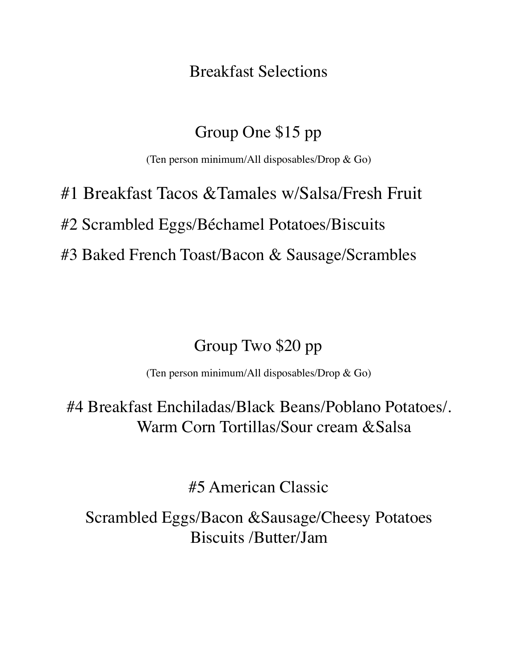Breakfast Selections

#### Group One \$15 pp

(Ten person minimum/All disposables/Drop & Go)

# #1 Breakfast Tacos &Tamales w/Salsa/Fresh Fruit #2 Scrambled Eggs/Béchamel Potatoes/Biscuits #3 Baked French Toast/Bacon & Sausage/Scrambles

## Group Two \$20 pp

(Ten person minimum/All disposables/Drop & Go)

#4 Breakfast Enchiladas/Black Beans/Poblano Potatoes/. Warm Corn Tortillas/Sour cream &Salsa

#5 American Classic

Scrambled Eggs/Bacon &Sausage/Cheesy Potatoes Biscuits /Butter/Jam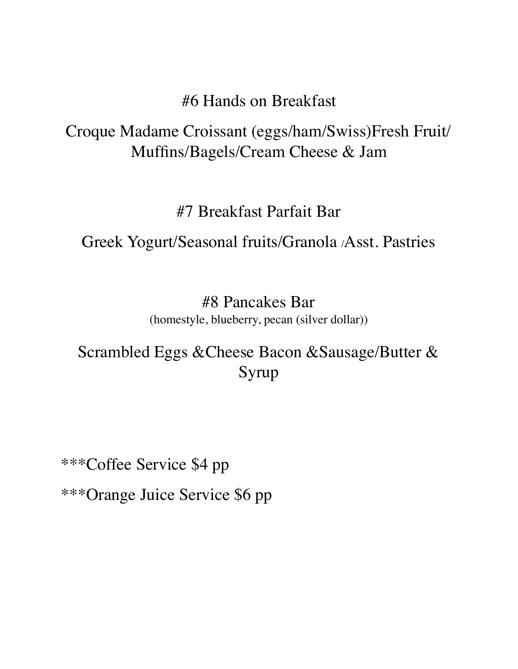#### #6 Hands on Breakfast

## Croque Madame Croissant (eggs/ham/Swiss)Fresh Fruit/ Muffins/Bagels/Cream Cheese & Jam

## #7 Breakfast Parfait Bar

## Greek Yogurt/Seasonal fruits/Granola /Asst. Pastries

#8 Pancakes Bar (homestyle, blueberry, pecan (silver dollar))

## Scrambled Eggs &Cheese Bacon &Sausage/Butter & Syrup

\*\*\*Coffee Service \$4 pp \*\*\*Orange Juice Service \$6 pp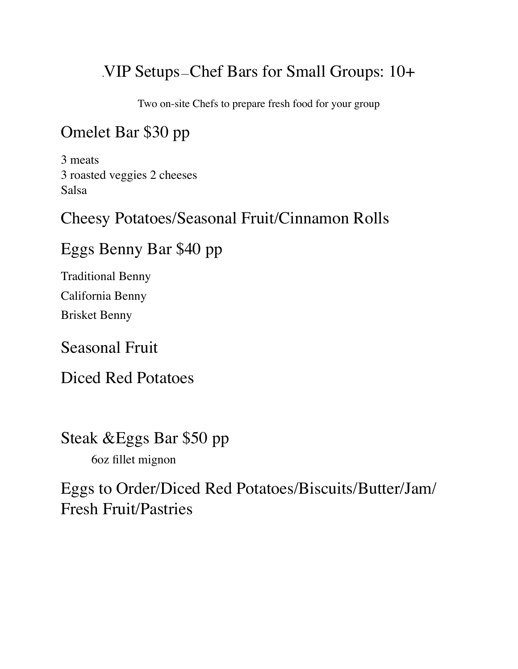## .VIP Setups—Chef Bars for Small Groups: 10+

Two on-site Chefs to prepare fresh food for your group

## Omelet Bar \$30 pp

3 meats 3 roasted veggies 2 cheeses Salsa

## Cheesy Potatoes/Seasonal Fruit/Cinnamon Rolls

## Eggs Benny Bar \$40 pp

Traditional Benny California Benny Brisket Benny

Seasonal Fruit

Diced Red Potatoes

Steak &Eggs Bar \$50 pp 6oz fillet mignon

Eggs to Order/Diced Red Potatoes/Biscuits/Butter/Jam/ Fresh Fruit/Pastries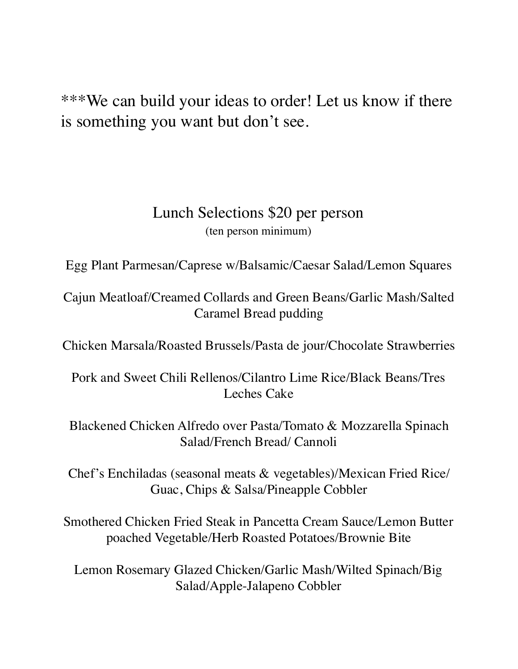\*\*\*We can build your ideas to order! Let us know if there is something you want but don't see.

#### Lunch Selections \$20 per person (ten person minimum)

Egg Plant Parmesan/Caprese w/Balsamic/Caesar Salad/Lemon Squares

Cajun Meatloaf/Creamed Collards and Green Beans/Garlic Mash/Salted Caramel Bread pudding

Chicken Marsala/Roasted Brussels/Pasta de jour/Chocolate Strawberries

Pork and Sweet Chili Rellenos/Cilantro Lime Rice/Black Beans/Tres Leches Cake

Blackened Chicken Alfredo over Pasta/Tomato & Mozzarella Spinach Salad/French Bread/ Cannoli

Chef's Enchiladas (seasonal meats & vegetables)/Mexican Fried Rice/ Guac, Chips & Salsa/Pineapple Cobbler

Smothered Chicken Fried Steak in Pancetta Cream Sauce/Lemon Butter poached Vegetable/Herb Roasted Potatoes/Brownie Bite

Lemon Rosemary Glazed Chicken/Garlic Mash/Wilted Spinach/Big Salad/Apple-Jalapeno Cobbler